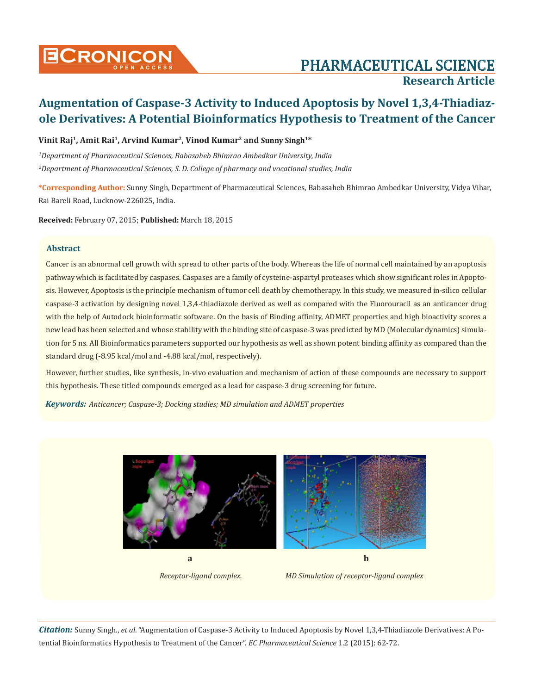# **Cronicon OPEN ACCESS** PHARMACEUTICAL SCIENCE **Research Article**

## **Augmentation of Caspase-3 Activity to Induced Apoptosis by Novel 1,3,4-Thiadiazole Derivatives: A Potential Bioinformatics Hypothesis to Treatment of the Cancer**

### Vinit Raj<sup>1</sup>, Amit Rai<sup>1</sup>, Arvind Kumar<sup>2</sup>, Vinod Kumar<sup>2</sup> and Sunny Singh<sup>1\*</sup>

*1 Department of Pharmaceutical Sciences, Babasaheb Bhimrao Ambedkar University, India 2 Department of Pharmaceutical Sciences, S. D. College of pharmacy and vocational studies, India*

**\*Corresponding Author:** Sunny Singh, Department of Pharmaceutical Sciences, Babasaheb Bhimrao Ambedkar University, Vidya Vihar, Rai Bareli Road, Lucknow-226025, India.

**Received:** February 07, 2015; **Published:** March 18, 2015

### **Abstract**

Cancer is an abnormal cell growth with spread to other parts of the body. Whereas the life of normal cell maintained by an apoptosis pathway which is facilitated by caspases. Caspases are a family of cysteine-aspartyl proteases which show significant roles in Apoptosis. However, Apoptosis is the principle mechanism of tumor cell death by chemotherapy. In this study, we measured in-silico cellular caspase-3 activation by designing novel 1,3,4-thiadiazole derived as well as compared with the Fluorouracil as an anticancer drug with the help of Autodock bioinformatic software. On the basis of Binding affinity, ADMET properties and high bioactivity scores a new lead has been selected and whose stability with the binding site of caspase-3 was predicted by MD (Molecular dynamics) simulation for 5 ns. All Bioinformatics parameters supported our hypothesis as well as shown potent binding affinity as compared than the standard drug (-8.95 kcal/mol and -4.88 kcal/mol, respectively).

However, further studies, like synthesis, in-vivo evaluation and mechanism of action of these compounds are necessary to support this hypothesis. These titled compounds emerged as a lead for caspase-3 drug screening for future.

*Keywords: Anticancer; Caspase-3; Docking studies; MD simulation and ADMET properties*



 *Receptor-ligand complex. MD Simulation of receptor-ligand complex*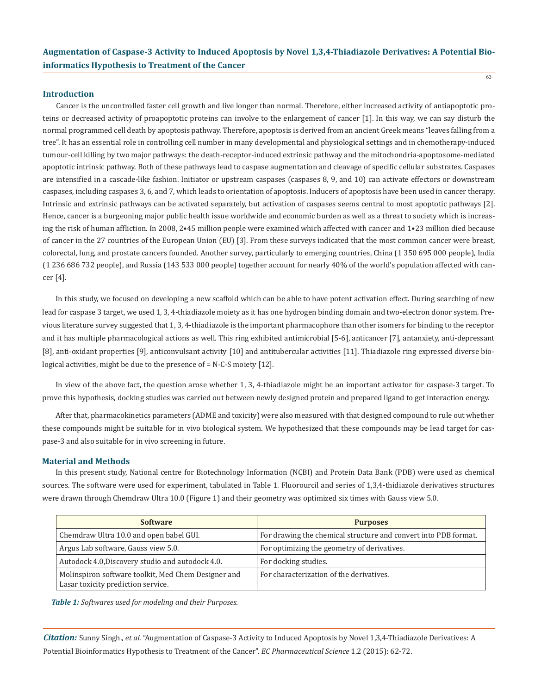$63$ 

#### **Introduction**

Cancer is the uncontrolled faster cell growth and live longer than normal. Therefore, either increased activity of antiapoptotic proteins or decreased activity of proapoptotic proteins can involve to the enlargement of cancer [1]. In this way, we can say disturb the normal programmed cell death by apoptosis pathway. Therefore, apoptosis is derived from an ancient Greek means "leaves falling from a tree". It has an essential role in controlling cell number in many developmental and physiological settings and in chemotherapy-induced tumour-cell killing by two major pathways: the death-receptor-induced extrinsic pathway and the mitochondria-apoptosome-mediated apoptotic intrinsic pathway. Both of these pathways lead to caspase augmentation and cleavage of specific cellular substrates. Caspases are intensified in a cascade-like fashion. Initiator or upstream caspases (caspases 8, 9, and 10) can activate effectors or downstream caspases, including caspases 3, 6, and 7, which leads to orientation of apoptosis. Inducers of apoptosis have been used in cancer therapy. Intrinsic and extrinsic pathways can be activated separately, but activation of caspases seems central to most apoptotic pathways [2]. Hence, cancer is a burgeoning major public health issue worldwide and economic burden as well as a threat to society which is increasing the risk of human affliction. In 2008, 2•45 million people were examined which affected with cancer and 1•23 million died because of cancer in the 27 countries of the European Union (EU) [3]. From these surveys indicated that the most common cancer were breast, colorectal, lung, and prostate cancers founded. Another survey, particularly to emerging countries, China (1 350 695 000 people), India (1 236 686 732 people), and Russia (143 533 000 people) together account for nearly 40% of the world's population affected with cancer [4].

In this study, we focused on developing a new scaffold which can be able to have potent activation effect. During searching of new lead for caspase 3 target, we used 1, 3, 4-thiadiazole moiety as it has one hydrogen binding domain and two-electron donor system. Previous literature survey suggested that 1, 3, 4-thiadiazole is the important pharmacophore than other isomers for binding to the receptor and it has multiple pharmacological actions as well. This ring exhibited antimicrobial [5-6], anticancer [7], antanxiety, anti-depressant [8], anti-oxidant properties [9], anticonvulsant activity [10] and antitubercular activities [11]. Thiadiazole ring expressed diverse biological activities, might be due to the presence of = N-C-S moiety [12].

In view of the above fact, the question arose whether 1, 3, 4-thiadiazole might be an important activator for caspase-3 target. To prove this hypothesis, docking studies was carried out between newly designed protein and prepared ligand to get interaction energy.

After that, pharmacokinetics parameters (ADME and toxicity) were also measured with that designed compound to rule out whether these compounds might be suitable for in vivo biological system. We hypothesized that these compounds may be lead target for caspase-3 and also suitable for in vivo screening in future.

#### **Material and Methods**

In this present study, National centre for Biotechnology Information (NCBI) and Protein Data Bank (PDB) were used as chemical sources. The software were used for experiment, tabulated in Table 1. Fluorourcil and series of 1,3,4-thidiazole derivatives structures were drawn through Chemdraw Ultra 10.0 (Figure 1) and their geometry was optimized six times with Gauss view 5.0.

| <b>Software</b>                                                                           | <b>Purposes</b>                                                 |
|-------------------------------------------------------------------------------------------|-----------------------------------------------------------------|
| Chemdraw Ultra 10.0 and open babel GUI.                                                   | For drawing the chemical structure and convert into PDB format. |
| Argus Lab software, Gauss view 5.0.                                                       | For optimizing the geometry of derivatives.                     |
| Autodock 4.0, Discovery studio and autodock 4.0.                                          | For docking studies.                                            |
| Molinspiron software toolkit, Med Chem Designer and<br>Lasar toxicity prediction service. | For characterization of the derivatives.                        |

*Table 1: Softwares used for modeling and their Purposes.*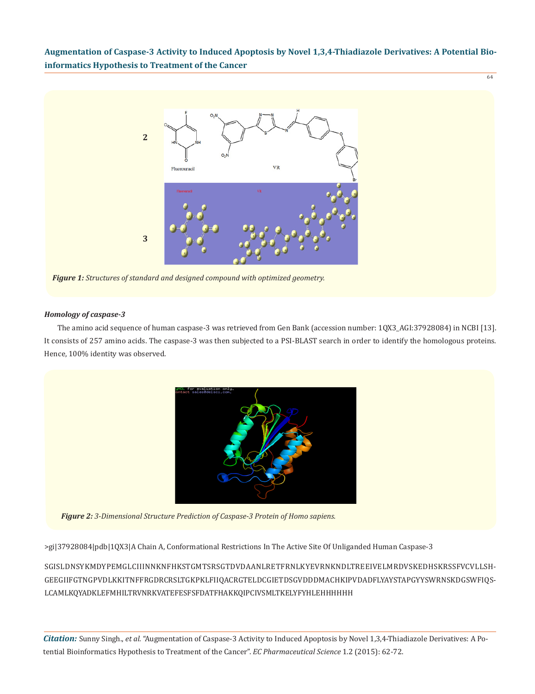

#### *Homology of caspase-3*

The amino acid sequence of human caspase-3 was retrieved from Gen Bank (accession number: 1QX3\_AGI:37928084) in NCBI [13]. It consists of 257 amino acids. The caspase-3 was then subjected to a PSI-BLAST search in order to identify the homologous proteins. Hence, 100% identity was observed.



*Figure 2: 3-Dimensional Structure Prediction of Caspase-3 Protein of Homo sapiens.*

>gi|37928084|pdb|1QX3|A Chain A, Conformational Restrictions In The Active Site Of Unliganded Human Caspase-3

SGISLDNSYKMDYPEMGLCIIINNKNFHKSTGMTSRSGTDVDAANLRETFRNLKYEVRNKNDLTREEIVELMRDVSKEDHSKRSSFVCVLLSH-GEEGIIFGTNGPVDLKKITNFFRGDRCRSLTGKPKLFIIQACRGTELDCGIETDSGVDDDMACHKIPVDADFLYAYSTAPGYYSWRNSKDGSWFIQS-LCAMLKQYADKLEFMHILTRVNRKVATEFESFSFDATFHAKKQIPCIVSMLTKELYFYHLEHHHHHH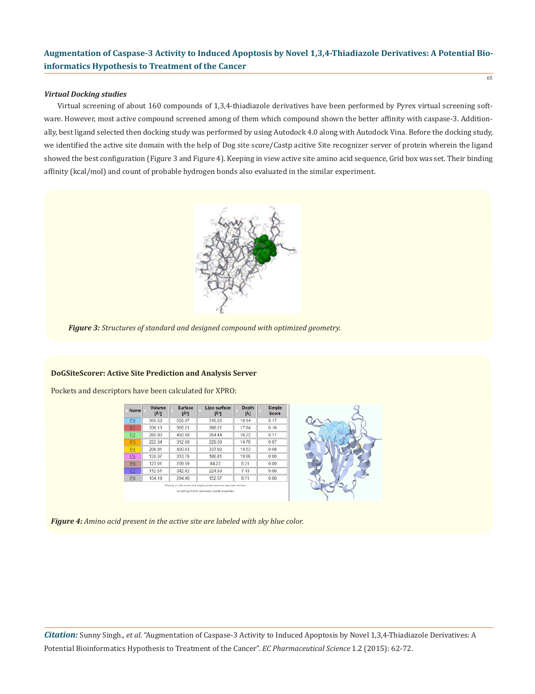#### *Virtual Docking studies*

Virtual screening of about 160 compounds of 1,3,4-thiadiazole derivatives have been performed by Pyrex virtual screening software. However, most active compound screened among of them which compound shown the better affinity with caspase-3. Additionally, best ligand selected then docking study was performed by using Autodock 4.0 along with Autodock Vina. Before the docking study, we identified the active site domain with the help of Dog site score/Castp acitive Site recognizer server of protein wherein the ligand showed the best configuration (Figure 3 and Figure 4). Keeping in view active site amino acid sequence, Grid box was set. Their binding affinity (kcal/mol) and count of probable hydrogen bonds also evaluated in the similar experiment.



*Figure 3: Structures of standard and designed compound with optimized geometry.*

#### **DoGSiteScorer: Active Site Prediction and Analysis Server**

Pockets and descriptors have been calculated for XPRO:

| <b>Name</b>    | Volume<br>$[A^3]$ | Surface<br>$[A^2]$ | Lipo surface<br>$[A^2]$ | <b>Depth</b><br>[A] | Simple<br>Score |
|----------------|-------------------|--------------------|-------------------------|---------------------|-----------------|
| P <sub>0</sub> | 366.53            | 550.97             | 319.26                  | 19.14               | 0.17            |
| P1             | 336.13            | 565.21             | 396.21                  | 17.64               | 0.16            |
| P2             | 280.00            | 450.48             | 264.44                  | 16.23               | 0.11            |
| <b>P3</b>      | 222.34            | 312.08             | 229.59                  | 14.79               | 0.07            |
| P <sub>4</sub> | 206.91            | 400.63             | 337.92                  | 14.53               | 0.08            |
| P5             | 130.37            | 313.76             | 186.81                  | 10.66               | 0.00            |
| P6             | 123.01            | 209.59             | 8423                    | 6.21                | 0.00            |
| PZ             | 112.51            | 342.62             | 224.59                  | 7.43                | 0.00            |
| P8             | 104.19            | 284.96             | 152.57                  | 8.71                | 0.00            |



65

*Figure 4: Amino acid present in the active site are labeled with sky blue color.*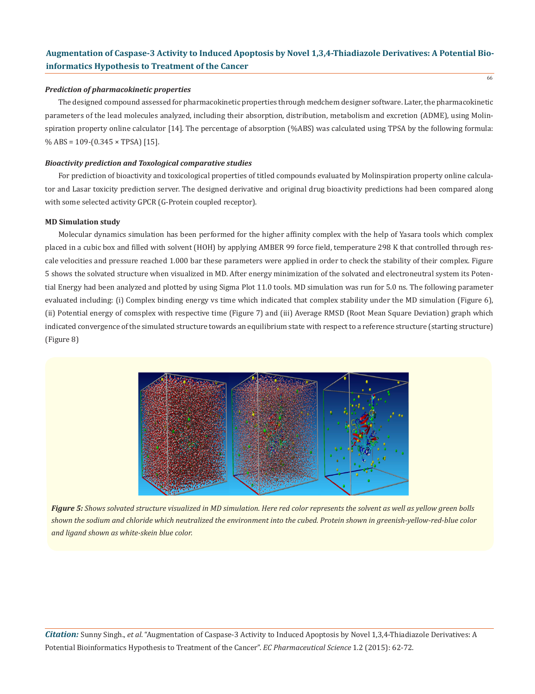#### *Prediction of pharmacokinetic properties*

The designed compound assessed for pharmacokinetic properties through medchem designer software. Later, the pharmacokinetic parameters of the lead molecules analyzed, including their absorption, distribution, metabolism and excretion (ADME), using Molinspiration property online calculator [14]. The percentage of absorption (%ABS) was calculated using TPSA by the following formula:  $%$  ABS = 109-(0.345  $\times$  TPSA) [15].

### *Bioactivity prediction and Toxological comparative studies*

For prediction of bioactivity and toxicological properties of titled compounds evaluated by Molinspiration property online calculator and Lasar toxicity prediction server. The designed derivative and original drug bioactivity predictions had been compared along with some selected activity GPCR (G-Protein coupled receptor).

#### **MD Simulation study**

Molecular dynamics simulation has been performed for the higher affinity complex with the help of Yasara tools which complex placed in a cubic box and filled with solvent (HOH) by applying AMBER 99 force field, temperature 298 K that controlled through rescale velocities and pressure reached 1.000 bar these parameters were applied in order to check the stability of their complex. Figure 5 shows the solvated structure when visualized in MD. After energy minimization of the solvated and electroneutral system its Potential Energy had been analyzed and plotted by using Sigma Plot 11.0 tools. MD simulation was run for 5.0 ns. The following parameter evaluated including: (i) Complex binding energy vs time which indicated that complex stability under the MD simulation (Figure 6), (ii) Potential energy of comsplex with respective time (Figure 7) and (iii) Average RMSD (Root Mean Square Deviation) graph which indicated convergence of the simulated structure towards an equilibrium state with respect to a reference structure (starting structure) (Figure 8)



*Figure 5: Shows solvated structure visualized in MD simulation. Here red color represents the solvent as well as yellow green bolls shown the sodium and chloride which neutralized the environment into the cubed. Protein shown in greenish-yellow-red-blue color and ligand shown as white-skein blue color.*

*Citation:* Sunny Singh., *et al*. "Augmentation of Caspase-3 Activity to Induced Apoptosis by Novel 1,3,4-Thiadiazole Derivatives: A Potential Bioinformatics Hypothesis to Treatment of the Cancer". *EC Pharmaceutical Science* 1.2 (2015): 62-72.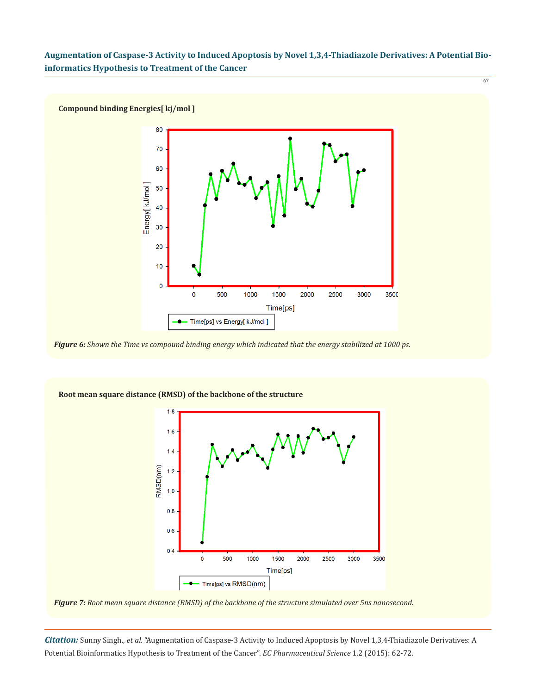

*Figure 6: Shown the Time vs compound binding energy which indicated that the energy stabilized at 1000 ps.*



**Root mean square distance (RMSD) of the backbone of the structure**

*Figure 7: Root mean square distance (RMSD) of the backbone of the structure simulated over 5ns nanosecond.*

*Citation:* Sunny Singh., *et al*. "Augmentation of Caspase-3 Activity to Induced Apoptosis by Novel 1,3,4-Thiadiazole Derivatives: A Potential Bioinformatics Hypothesis to Treatment of the Cancer". *EC Pharmaceutical Science* 1.2 (2015): 62-72.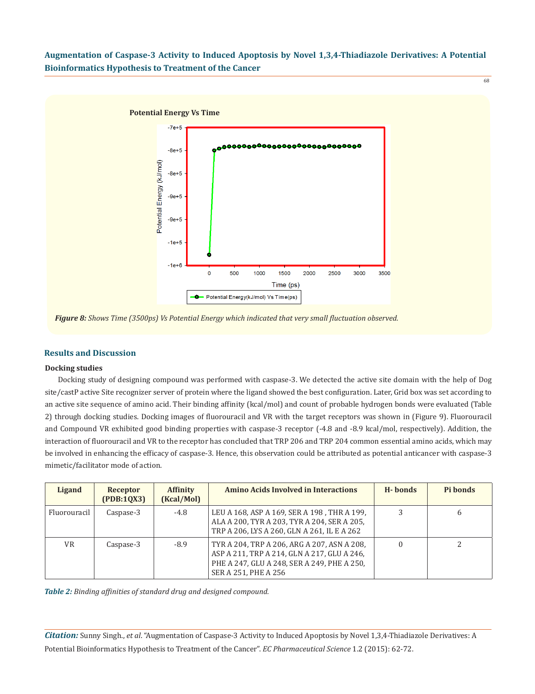

*Figure 8: Shows Time (3500ps) Vs Potential Energy which indicated that very small fluctuation observed.*

#### **Results and Discussion**

#### **Docking studies**

Docking study of designing compound was performed with caspase-3. We detected the active site domain with the help of Dog site/castP active Site recognizer server of protein where the ligand showed the best configuration. Later, Grid box was set according to an active site sequence of amino acid. Their binding affinity (kcal/mol) and count of probable hydrogen bonds were evaluated (Table 2) through docking studies. Docking images of fluorouracil and VR with the target receptors was shown in (Figure 9). Fluorouracil and Compound VR exhibited good binding properties with caspase-3 receptor (-4.8 and -8.9 kcal/mol, respectively). Addition, the interaction of fluorouracil and VR to the receptor has concluded that TRP 206 and TRP 204 common essential amino acids, which may be involved in enhancing the efficacy of caspase-3. Hence, this observation could be attributed as potential anticancer with caspase-3 mimetic/facilitator mode of action.

| Ligand       | Receptor<br>(PDB:1QX3) | <b>Affinity</b><br>(Kcal/Mol) | <b>Amino Acids Involved in Interactions</b>                                                                                                                       | H-bonds | Pi bonds |
|--------------|------------------------|-------------------------------|-------------------------------------------------------------------------------------------------------------------------------------------------------------------|---------|----------|
| Fluorouracil | Caspase-3              | $-4.8$                        | LEU A 168, ASP A 169, SER A 198, THR A 199,<br>ALA A 200, TYR A 203, TYR A 204, SER A 205,<br>TRP A 206, LYS A 260, GLN A 261, IL E A 262                         | 3       | b        |
| <b>VR</b>    | Caspase-3              | $-8.9$                        | TYR A 204, TRP A 206, ARG A 207, ASN A 208,<br>ASP A 211, TRP A 214, GLN A 217, GLU A 246,<br>PHE A 247, GLU A 248, SER A 249, PHE A 250,<br>SER A 251, PHE A 256 |         |          |

*Table 2: Binding affinities of standard drug and designed compound.*

*Citation:* Sunny Singh., *et al*. "Augmentation of Caspase-3 Activity to Induced Apoptosis by Novel 1,3,4-Thiadiazole Derivatives: A Potential Bioinformatics Hypothesis to Treatment of the Cancer". *EC Pharmaceutical Science* 1.2 (2015): 62-72.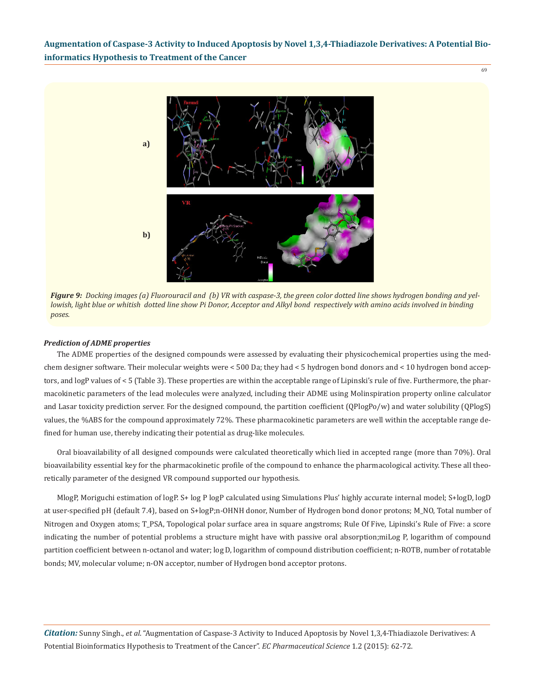69



*Figure 9: Docking images (a) Fluorouracil and (b) VR with caspase-3, the green color dotted line shows hydrogen bonding and yellowish, light blue or whitish dotted line show Pi Donor, Acceptor and Alkyl bond respectively with amino acids involved in binding poses.*

#### *Prediction of ADME properties*

The ADME properties of the designed compounds were assessed by evaluating their physicochemical properties using the medchem designer software. Their molecular weights were < 500 Da; they had < 5 hydrogen bond donors and < 10 hydrogen bond acceptors, and logP values of < 5 (Table 3). These properties are within the acceptable range of Lipinski's rule of five. Furthermore, the pharmacokinetic parameters of the lead molecules were analyzed, including their ADME using Molinspiration property online calculator and Lasar toxicity prediction server. For the designed compound, the partition coefficient (QPlogPo/w) and water solubility (QPlogS) values, the %ABS for the compound approximately 72%. These pharmacokinetic parameters are well within the acceptable range defined for human use, thereby indicating their potential as drug-like molecules.

Oral bioavailability of all designed compounds were calculated theoretically which lied in accepted range (more than 70%). Oral bioavailability essential key for the pharmacokinetic profile of the compound to enhance the pharmacological activity. These all theoretically parameter of the designed VR compound supported our hypothesis.

MlogP, Moriguchi estimation of logP. S+ log P logP calculated using Simulations Plus' highly accurate internal model; S+logD, logD at user-specified pH (default 7.4), based on S+logP;n-OHNH donor, Number of Hydrogen bond donor protons; M\_NO, Total number of Nitrogen and Oxygen atoms; T\_PSA, Topological polar surface area in square angstroms; Rule Of Five, Lipinski's Rule of Five: a score indicating the number of potential problems a structure might have with passive oral absorption;miLog P, logarithm of compound partition coefficient between n-octanol and water; log D, logarithm of compound distribution coefficient; n-ROTB, number of rotatable bonds; MV, molecular volume; n-ON acceptor, number of Hydrogen bond acceptor protons.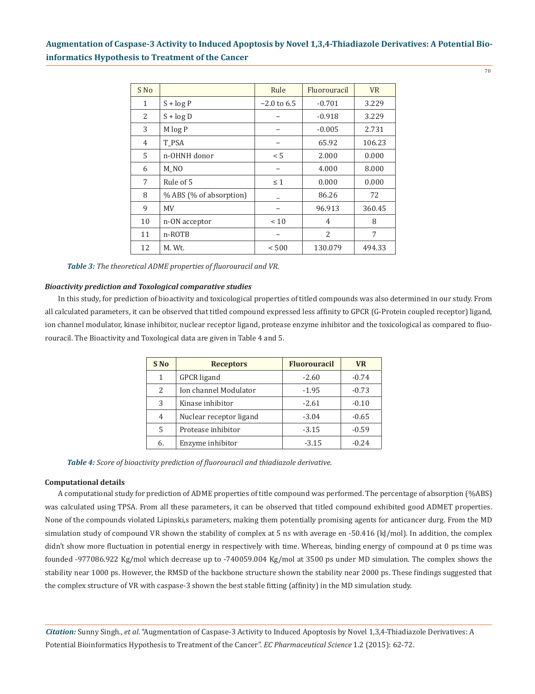70

| S No         |                         | Rule          | Fluorouracil   | <b>VR</b> |
|--------------|-------------------------|---------------|----------------|-----------|
| $\mathbf{1}$ | $S + log P$             | $-2.0$ to 6.5 | $-0.701$       | 3.229     |
| 2            | $S + log D$             |               | $-0.918$       | 3.229     |
| 3            | M log P                 |               | $-0.005$       | 2.731     |
| 4            | T PSA                   |               | 65.92          | 106.23    |
| 5            | n-OHNH donor            | < 5           | 2.000          | 0.000     |
| 6            | M NO                    |               | 4.000          | 8.000     |
| 7            | Rule of 5               | $\leq 1$      | 0.000          | 0.000     |
| 8            | % ABS (% of absorption) |               | 86.26          | 72        |
| 9            | MV                      |               | 96.913         | 360.45    |
| 10           | n-ON acceptor           | < 10          | 4              | 8         |
| 11           | n-ROTB                  |               | $\overline{2}$ | 7         |
| 12           | M. Wt.                  | ${}< 500$     | 130.079        | 494.33    |

*Table 3: The theoretical ADME properties of fluorouracil and VR.*

### *Bioactivity prediction and Toxological comparative studies*

In this study, for prediction of bioactivity and toxicological properties of titled compounds was also determined in our study. From all calculated parameters, it can be observed that titled compound expressed less affinity to GPCR (G-Protein coupled receptor) ligand, ion channel modulator, kinase inhibitor, nuclear receptor ligand, protease enzyme inhibitor and the toxicological as compared to fluorouracil. The Bioactivity and Toxological data are given in Table 4 and 5.

| S No | <b>Receptors</b>        | <b>Fluorouracil</b> | <b>VR</b> |
|------|-------------------------|---------------------|-----------|
| 1    | <b>GPCR</b> ligand      | $-2.60$             | $-0.74$   |
| 2.   | Ion channel Modulator   | $-1.95$             | $-0.73$   |
| 3    | Kinase inhibitor        | $-2.61$             | $-0.10$   |
| 4    | Nuclear receptor ligand | $-3.04$             | $-0.65$   |
| 5    | Protease inhibitor      | $-3.15$             | $-0.59$   |
| 6.   | Enzyme inhibitor        | $-3.15$             | $-0.24$   |

*Table 4: Score of bioactivity prediction of fluorouracil and thiadiazole derivative.*

### **Computational details**

A computational study for prediction of ADME properties of title compound was performed. The percentage of absorption (%ABS) was calculated using TPSA. From all these parameters, it can be observed that titled compound exhibited good ADMET properties. None of the compounds violated Lipinski,s parameters, making them potentially promising agents for anticancer durg. From the MD simulation study of compound VR shown the stability of complex at 5 ns with average en -50.416 (kJ/mol). In addition, the complex didn't show more fluctuation in potential energy in respectively with time. Whereas, binding energy of compound at 0 ps time was founded -977086.922 Kg/mol which decrease up to -740059.004 Kg/mol at 3500 ps under MD simulation. The complex shows the stability near 1000 ps. However, the RMSD of the backbone structure shown the stability near 2000 ps. These findings suggested that the complex structure of VR with caspase-3 shown the best stable fitting (affinity) in the MD simulation study.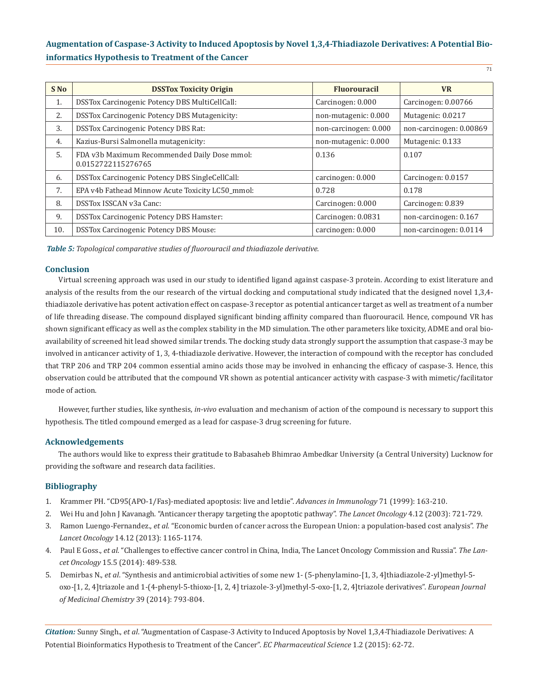| S No | <b>DSSTox Toxicity Origin</b>                                      | <b>Fluorouracil</b>   | <b>VR</b>               |
|------|--------------------------------------------------------------------|-----------------------|-------------------------|
| 1.   | <b>DSSTox Carcinogenic Potency DBS MultiCellCall:</b>              | Carcinogen: 0.000     | Carcinogen: 0.00766     |
| 2.   | <b>DSSTox Carcinogenic Potency DBS Mutagenicity:</b>               | non-mutagenic: 0.000  | Mutagenic: 0.0217       |
| 3.   | <b>DSSTox Carcinogenic Potency DBS Rat:</b>                        | non-carcinogen: 0.000 | non-carcinogen: 0.00869 |
| 4.   | Kazius-Bursi Salmonella mutagenicity:                              | non-mutagenic: 0.000  | Mutagenic: 0.133        |
| 5.   | FDA v3b Maximum Recommended Daily Dose mmol:<br>0.0152722115276765 | 0.136                 | 0.107                   |
| 6.   | DSSTox Carcinogenic Potency DBS SingleCellCall:                    | carcinogen: 0.000     | Carcinogen: 0.0157      |
| 7.   | EPA v4b Fathead Minnow Acute Toxicity LC50 mmol:                   | 0.728                 | 0.178                   |
| 8.   | DSSTox ISSCAN v3a Canc:                                            | Carcinogen: 0.000     | Carcinogen: 0.839       |
| 9.   | <b>DSSTox Carcinogenic Potency DBS Hamster:</b>                    | Carcinogen: 0.0831    | non-carcinogen: 0.167   |
| 10.  | <b>DSSTox Carcinogenic Potency DBS Mouse:</b>                      | carcinogen: 0.000     | non-carcinogen: 0.0114  |

*Table 5: Topological comparative studies of fluorouracil and thiadiazole derivative.*

### **Conclusion**

Virtual screening approach was used in our study to identified ligand against caspase-3 protein. According to exist literature and analysis of the results from the our research of the virtual docking and computational study indicated that the designed novel 1,3,4 thiadiazole derivative has potent activation effect on caspase-3 receptor as potential anticancer target as well as treatment of a number of life threading disease. The compound displayed significant binding affinity compared than fluorouracil. Hence, compound VR has shown significant efficacy as well as the complex stability in the MD simulation. The other parameters like toxicity, ADME and oral bioavailability of screened hit lead showed similar trends. The docking study data strongly support the assumption that caspase-3 may be involved in anticancer activity of 1, 3, 4-thiadiazole derivative. However, the interaction of compound with the receptor has concluded that TRP 206 and TRP 204 common essential amino acids those may be involved in enhancing the efficacy of caspase-3. Hence, this observation could be attributed that the compound VR shown as potential anticancer activity with caspase-3 with mimetic/facilitator mode of action.

However, further studies, like synthesis, *in-vivo* evaluation and mechanism of action of the compound is necessary to support this hypothesis. The titled compound emerged as a lead for caspase-3 drug screening for future.

### **Acknowledgements**

The authors would like to express their gratitude to Babasaheb Bhimrao Ambedkar University (a Central University) Lucknow for providing the software and research data facilities.

### **Bibliography**

- 1. Krammer PH. "CD95(APO-1/Fas)-mediated apoptosis: live and letdie". *Advances in Immunology* 71 (1999): 163-210.
- 2. Wei Hu and John J Kavanagh. "Anticancer therapy targeting the apoptotic pathway". *The Lancet Oncology* 4.12 (2003): 721-729.
- 3. Ramon Luengo-Fernandez., *et al*. "Economic burden of cancer across the European Union: a population-based cost analysis". *The Lancet Oncology* 14.12 (2013): 1165-1174.
- 4. Paul E Goss., *et al*. "Challenges to effective cancer control in China, India, The Lancet Oncology Commission and Russia". *The Lan cet Oncology* 15.5 (2014): 489-538.
- 5. Demirbas N., *et al*. "Synthesis and antimicrobial activities of some new 1- (5-phenylamino-[1, 3, 4]thiadiazole-2-yl)methyl-5 oxo-[1, 2, 4]triazole and 1-(4-phenyl-5-thioxo-[1, 2, 4] triazole-3-yl)methyl-5-oxo-[1, 2, 4]triazole derivatives". *European Journal of Medicinal Chemistry* 39 (2014): 793-804.

*Citation:* Sunny Singh., *et al*. "Augmentation of Caspase-3 Activity to Induced Apoptosis by Novel 1,3,4-Thiadiazole Derivatives: A Potential Bioinformatics Hypothesis to Treatment of the Cancer". *EC Pharmaceutical Science* 1.2 (2015): 62-72.